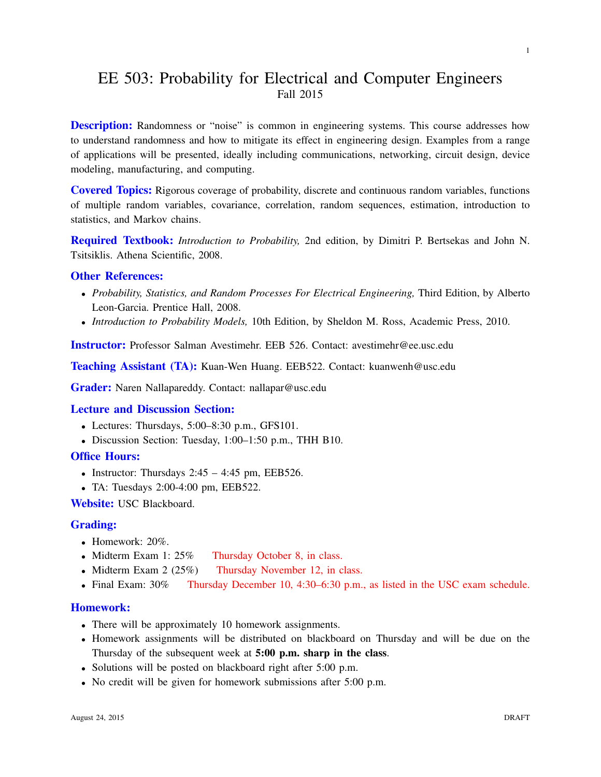# EE 503: Probability for Electrical and Computer Engineers Fall 2015

**Description:** Randomness or "noise" is common in engineering systems. This course addresses how to understand randomness and how to mitigate its effect in engineering design. Examples from a range of applications will be presented, ideally including communications, networking, circuit design, device modeling, manufacturing, and computing.

Covered Topics: Rigorous coverage of probability, discrete and continuous random variables, functions of multiple random variables, covariance, correlation, random sequences, estimation, introduction to statistics, and Markov chains.

Required Textbook: *Introduction to Probability,* 2nd edition, by Dimitri P. Bertsekas and John N. Tsitsiklis. Athena Scientific, 2008.

## Other References:

- *Probability, Statistics, and Random Processes For Electrical Engineering,* Third Edition, by Alberto Leon-Garcia. Prentice Hall, 2008.
- *Introduction to Probability Models,* 10th Edition, by Sheldon M. Ross, Academic Press, 2010.

Instructor: Professor Salman Avestimehr. EEB 526. Contact: avestimehr@ee.usc.edu

Teaching Assistant (TA): Kuan-Wen Huang. EEB522. Contact: kuanwenh@usc.edu

Grader: Naren Nallapareddy. Contact: nallapar@usc.edu

#### Lecture and Discussion Section:

- Lectures: Thursdays, 5:00–8:30 p.m., GFS101.
- Discussion Section: Tuesday, 1:00–1:50 p.m., THH B10.
- Office Hours:
	- Instructor: Thursdays  $2:45 4:45$  pm, EEB526.
	- TA: Tuesdays 2:00-4:00 pm, EEB522.

Website: USC Blackboard.

#### Grading:

- Homework:  $20\%$ .
- Midterm Exam 1: 25% Thursday October 8, in class.
- Midterm Exam 2 (25%) Thursday November 12, in class.
- Final Exam: 30% Thursday December 10, 4:30–6:30 p.m., as listed in the USC exam schedule.

# Homework:

- There will be approximately 10 homework assignments.
- Homework assignments will be distributed on blackboard on Thursday and will be due on the Thursday of the subsequent week at 5:00 p.m. sharp in the class.
- Solutions will be posted on blackboard right after 5:00 p.m.
- No credit will be given for homework submissions after 5:00 p.m.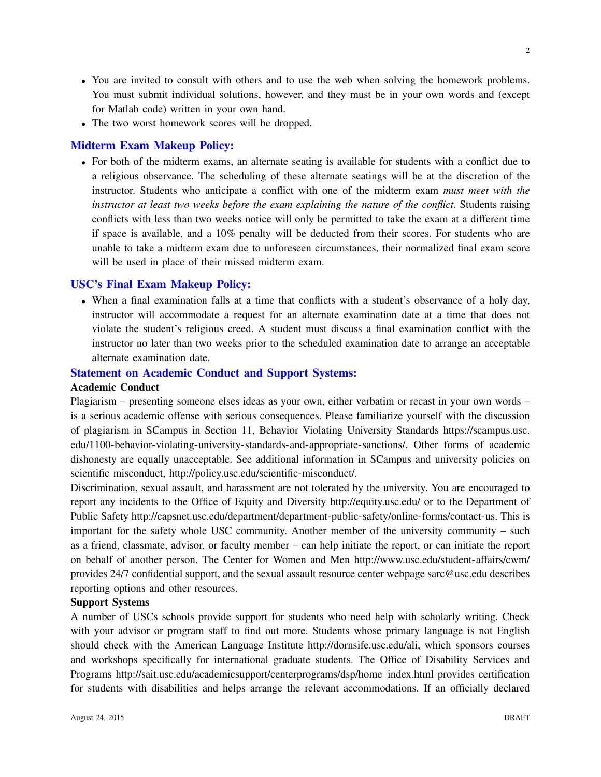- You are invited to consult with others and to use the web when solving the homework problems. You must submit individual solutions, however, and they must be in your own words and (except for Matlab code) written in your own hand.
- The two worst homework scores will be dropped.

# Midterm Exam Makeup Policy:

• For both of the midterm exams, an alternate seating is available for students with a conflict due to a religious observance. The scheduling of these alternate seatings will be at the discretion of the instructor. Students who anticipate a conflict with one of the midterm exam *must meet with the instructor at least two weeks before the exam explaining the nature of the conflict*. Students raising conflicts with less than two weeks notice will only be permitted to take the exam at a different time if space is available, and a 10% penalty will be deducted from their scores. For students who are unable to take a midterm exam due to unforeseen circumstances, their normalized final exam score will be used in place of their missed midterm exam.

## USC's Final Exam Makeup Policy:

• When a final examination falls at a time that conflicts with a student's observance of a holy day, instructor will accommodate a request for an alternate examination date at a time that does not violate the student's religious creed. A student must discuss a final examination conflict with the instructor no later than two weeks prior to the scheduled examination date to arrange an acceptable alternate examination date.

# Statement on Academic Conduct and Support Systems:

# Academic Conduct

Plagiarism – presenting someone elses ideas as your own, either verbatim or recast in your own words – is a serious academic offense with serious consequences. Please familiarize yourself with the discussion of plagiarism in SCampus in Section 11, Behavior Violating University Standards https://scampus.usc. edu/1100-behavior-violating-university-standards-and-appropriate-sanctions/. Other forms of academic dishonesty are equally unacceptable. See additional information in SCampus and university policies on scientific misconduct, http://policy.usc.edu/scientific-misconduct/.

Discrimination, sexual assault, and harassment are not tolerated by the university. You are encouraged to report any incidents to the Office of Equity and Diversity http://equity.usc.edu/ or to the Department of Public Safety http://capsnet.usc.edu/department/department-public-safety/online-forms/contact-us. This is important for the safety whole USC community. Another member of the university community – such as a friend, classmate, advisor, or faculty member – can help initiate the report, or can initiate the report on behalf of another person. The Center for Women and Men http://www.usc.edu/student-affairs/cwm/ provides 24/7 confidential support, and the sexual assault resource center webpage sarc@usc.edu describes reporting options and other resources.

# Support Systems

A number of USCs schools provide support for students who need help with scholarly writing. Check with your advisor or program staff to find out more. Students whose primary language is not English should check with the American Language Institute http://dornsife.usc.edu/ali, which sponsors courses and workshops specifically for international graduate students. The Office of Disability Services and Programs http://sait.usc.edu/academicsupport/centerprograms/dsp/home index.html provides certification for students with disabilities and helps arrange the relevant accommodations. If an officially declared